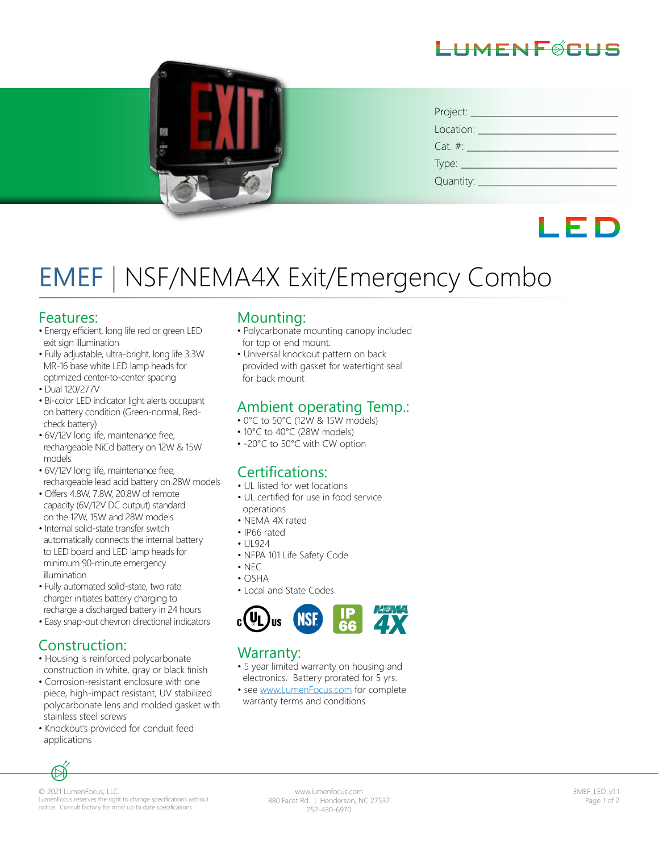# HMFNF@CHS



| Project:      |
|---------------|
| Location:     |
| $Cat. \#:$    |
| $Type:$ $\_\$ |
| Quantity: _   |

# LED

# EMEF | NSF/NEMA4X Exit/Emergency Combo

#### Features:

- Energy efficient, long life red or green LED exit sign illumination
- Fully adjustable, ultra-bright, long life 3.3W MR-16 base white LED lamp heads for optimized center-to-center spacing
- Dual 120/277V
- Bi-color LED indicator light alerts occupant on battery condition (Green-normal, Red check battery)
- 6V/12V long life, maintenance free, rechargeable NiCd battery on 12W & 15W models
- 6V/12V long life, maintenance free, rechargeable lead acid battery on 28W models
- Offers 4.8W, 7.8W, 20.8W of remote capacity (6V/12V DC output) standard on the 12W, 15W and 28W models
- Internal solid-state transfer switch automatically connects the internal battery to LED board and LED lamp heads for minimum 90-minute emergency illumination
- Fully automated solid-state, two rate charger initiates battery charging to recharge a discharged battery in 24 hours
- Easy snap-out chevron directional indicators

### Construction:

- Housing is reinforced polycarbonate construction in white, gray or black finish
- Corrosion-resistant enclosure with one piece, high-impact resistant, UV stabilized polycarbonate lens and molded gasket with stainless steel screws
- Knockout's provided for conduit feed applications

#### Mounting:

- Polycarbonate mounting canopy included for top or end mount.
- Universal knockout pattern on back provided with gasket for watertight seal for back mount

#### Ambient operating Temp.:

- 0°C to 50°C (12W & 15W models)
- 10°C to 40°C (28W models)
- -20°C to 50°C with CW option

#### Certifications:

- UL listed for wet locations
- UL certified for use in food service operations
- NEMA 4X rated
- IP66 rated
- UL924
- NFPA 101 Life Safety Code
- NEC
- OSHA
- Local and State Codes



#### Warranty:

- 5 year limited warranty on housing and electronics. Battery prorated for 5 yrs.
- see www.LumenFocus.com for complete warranty terms and conditions



© 2021 LumenFocus, LLC. LumenFocus reserves the right to change specifications without notice. Consult factory for most up to date specifications.

www.lumenfocus.com 880 Facet Rd. | Henderson, NC 27537 252-430-6970